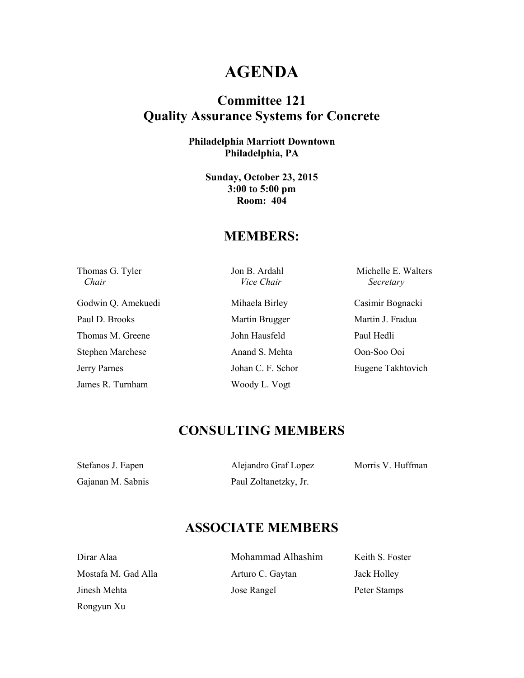## **AGENDA**

### **Committee 121 Quality Assurance Systems for Concrete**

**Philadelphia Marriott Downtown Philadelphia, PA** 

> **Sunday, October 23, 2015 3:00 to 5:00 pm Room: 404**

#### **MEMBERS:**

 *Chair Vice Chair Secretary* 

Godwin Q. Amekuedi Mihaela Birley Casimir Bognacki Paul D. Brooks Martin Brugger Martin J. Fradua Thomas M. Greene John Hausfeld Paul Hedli Stephen Marchese Anand S. Mehta Oon-Soo Ooi Jerry Parnes Johan C. F. Schor Eugene Takhtovich James R. Turnham Woody L. Vogt

Thomas G. Tyler Jon B. Ardahl Michelle E. Walters

## **CONSULTING MEMBERS**

Stefanos J. Eapen Alejandro Graf Lopez Morris V. Huffman Gajanan M. Sabnis Paul Zoltanetzky, Jr.

Rongyun Xu

## **ASSOCIATE MEMBERS**

| Mohammad Alhashim | Keith S. Foster |
|-------------------|-----------------|
| Arturo C. Gaytan  | Jack Holley     |
| Jose Rangel       | Peter Stamps    |
|                   |                 |